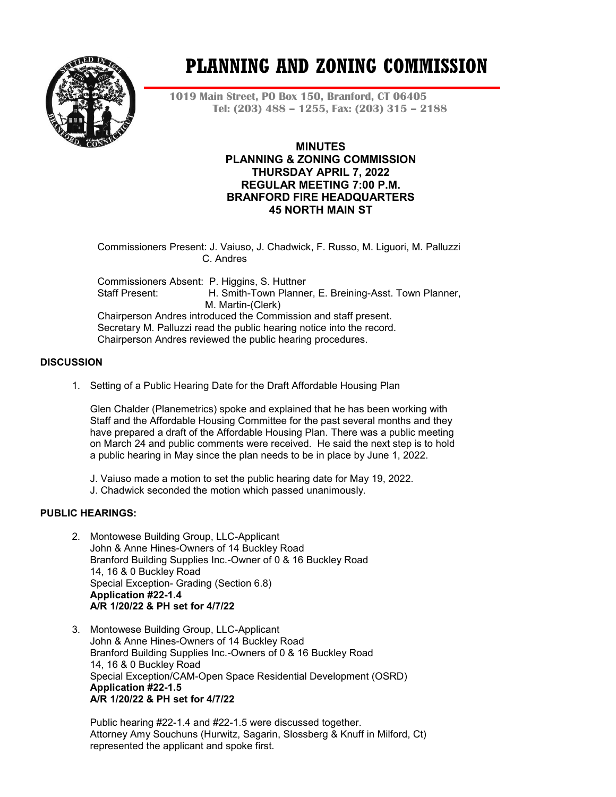

# **PLANNING AND ZONING COMMISSION**

**1019 Main Street, PO Box 150, Branford, CT 06405 Tel: (203) 488 – 1255, Fax: (203) 315 – 2188**

# **MINUTES PLANNING & ZONING COMMISSION THURSDAY APRIL 7, 2022 REGULAR MEETING 7:00 P.M. BRANFORD FIRE HEADQUARTERS 45 NORTH MAIN ST**

Commissioners Present: J. Vaiuso, J. Chadwick, F. Russo, M. Liguori, M. Palluzzi C. Andres

Commissioners Absent: P. Higgins, S. Huttner Staff Present: H. Smith-Town Planner, E. Breining-Asst. Town Planner, M. Martin-(Clerk) Chairperson Andres introduced the Commission and staff present. Secretary M. Palluzzi read the public hearing notice into the record.

Chairperson Andres reviewed the public hearing procedures.

# **DISCUSSION**

1. Setting of a Public Hearing Date for the Draft Affordable Housing Plan

Glen Chalder (Planemetrics) spoke and explained that he has been working with Staff and the Affordable Housing Committee for the past several months and they have prepared a draft of the Affordable Housing Plan. There was a public meeting on March 24 and public comments were received. He said the next step is to hold a public hearing in May since the plan needs to be in place by June 1, 2022.

- J. Vaiuso made a motion to set the public hearing date for May 19, 2022.
- J. Chadwick seconded the motion which passed unanimously.

# **PUBLIC HEARINGS:**

- 2. Montowese Building Group, LLC-Applicant John & Anne Hines-Owners of 14 Buckley Road Branford Building Supplies Inc.-Owner of 0 & 16 Buckley Road 14, 16 & 0 Buckley Road Special Exception- Grading (Section 6.8) **Application #22-1.4 A/R 1/20/22 & PH set for 4/7/22**
- 3. Montowese Building Group, LLC-Applicant John & Anne Hines-Owners of 14 Buckley Road Branford Building Supplies Inc.-Owners of 0 & 16 Buckley Road 14, 16 & 0 Buckley Road Special Exception/CAM-Open Space Residential Development (OSRD) **Application #22-1.5 A/R 1/20/22 & PH set for 4/7/22**

Public hearing #22-1.4 and #22-1.5 were discussed together. Attorney Amy Souchuns (Hurwitz, Sagarin, Slossberg & Knuff in Milford, Ct) represented the applicant and spoke first.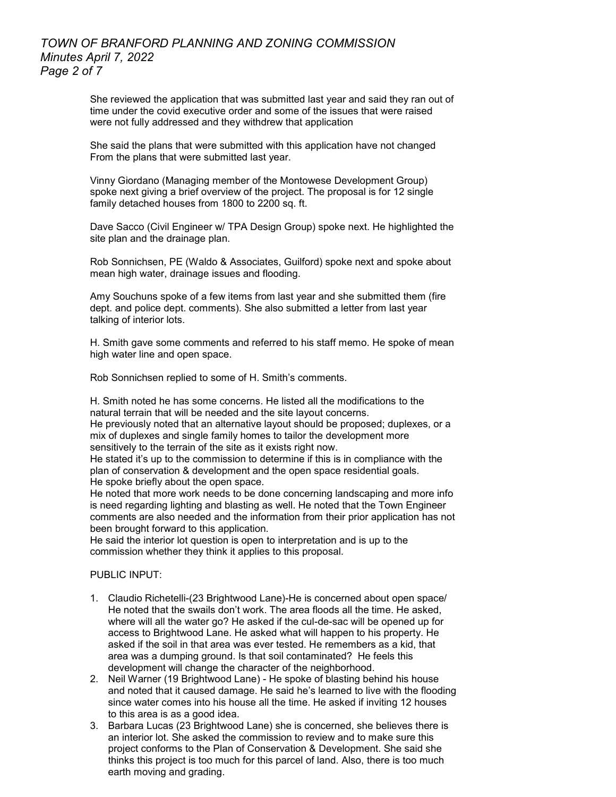# *TOWN OF BRANFORD PLANNING AND ZONING COMMISSION Minutes April 7, 2022 Page 2 of 7*

She reviewed the application that was submitted last year and said they ran out of time under the covid executive order and some of the issues that were raised were not fully addressed and they withdrew that application

She said the plans that were submitted with this application have not changed From the plans that were submitted last year.

Vinny Giordano (Managing member of the Montowese Development Group) spoke next giving a brief overview of the project. The proposal is for 12 single family detached houses from 1800 to 2200 sq. ft.

Dave Sacco (Civil Engineer w/ TPA Design Group) spoke next. He highlighted the site plan and the drainage plan.

Rob Sonnichsen, PE (Waldo & Associates, Guilford) spoke next and spoke about mean high water, drainage issues and flooding.

Amy Souchuns spoke of a few items from last year and she submitted them (fire dept. and police dept. comments). She also submitted a letter from last year talking of interior lots.

H. Smith gave some comments and referred to his staff memo. He spoke of mean high water line and open space.

Rob Sonnichsen replied to some of H. Smith's comments.

H. Smith noted he has some concerns. He listed all the modifications to the natural terrain that will be needed and the site layout concerns. He previously noted that an alternative layout should be proposed; duplexes, or a mix of duplexes and single family homes to tailor the development more sensitively to the terrain of the site as it exists right now.

He stated it's up to the commission to determine if this is in compliance with the plan of conservation & development and the open space residential goals. He spoke briefly about the open space.

He noted that more work needs to be done concerning landscaping and more info is need regarding lighting and blasting as well. He noted that the Town Engineer comments are also needed and the information from their prior application has not been brought forward to this application.

He said the interior lot question is open to interpretation and is up to the commission whether they think it applies to this proposal.

PUBLIC INPUT<sup>.</sup>

- 1. Claudio Richetelli-(23 Brightwood Lane)-He is concerned about open space/ He noted that the swails don't work. The area floods all the time. He asked, where will all the water go? He asked if the cul-de-sac will be opened up for access to Brightwood Lane. He asked what will happen to his property. He asked if the soil in that area was ever tested. He remembers as a kid, that area was a dumping ground. Is that soil contaminated? He feels this development will change the character of the neighborhood.
- 2. Neil Warner (19 Brightwood Lane) He spoke of blasting behind his house and noted that it caused damage. He said he's learned to live with the flooding since water comes into his house all the time. He asked if inviting 12 houses to this area is as a good idea.
- 3. Barbara Lucas (23 Brightwood Lane) she is concerned, she believes there is an interior lot. She asked the commission to review and to make sure this project conforms to the Plan of Conservation & Development. She said she thinks this project is too much for this parcel of land. Also, there is too much earth moving and grading.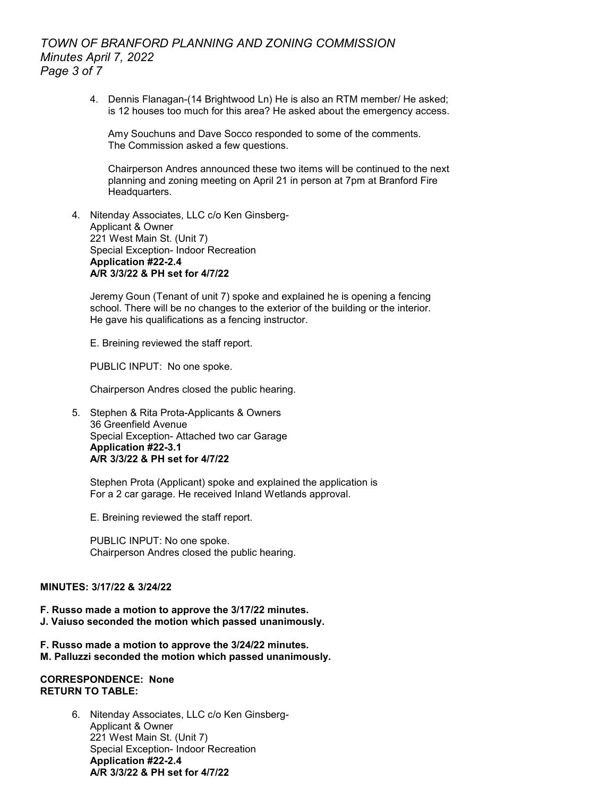# *TOWN OF BRANFORD PLANNING AND ZONING COMMISSION Minutes April 7, 2022 Page 3 of 7*

4. Dennis Flanagan-(14 Brightwood Ln) He is also an RTM member/ He asked; is 12 houses too much for this area? He asked about the emergency access.

Amy Souchuns and Dave Socco responded to some of the comments. The Commission asked a few questions.

Chairperson Andres announced these two items will be continued to the next planning and zoning meeting on April 21 in person at 7pm at Branford Fire Headquarters.

4. Nitenday Associates, LLC c/o Ken Ginsberg-Applicant & Owner 221 West Main St. (Unit 7) Special Exception- Indoor Recreation **Application #22-2.4 A/R 3/3/22 & PH set for 4/7/22**

Jeremy Goun (Tenant of unit 7) spoke and explained he is opening a fencing school. There will be no changes to the exterior of the building or the interior. He gave his qualifications as a fencing instructor.

E. Breining reviewed the staff report.

PUBLIC INPUT: No one spoke.

Chairperson Andres closed the public hearing.

5. Stephen & Rita Prota-Applicants & Owners 36 Greenfield Avenue Special Exception- Attached two car Garage **Application #22-3.1 A/R 3/3/22 & PH set for 4/7/22**

Stephen Prota (Applicant) spoke and explained the application is For a 2 car garage. He received Inland Wetlands approval.

E. Breining reviewed the staff report.

PUBLIC INPUT: No one spoke. Chairperson Andres closed the public hearing.

#### **MINUTES: 3/17/22 & 3/24/22**

- **F. Russo made a motion to approve the 3/17/22 minutes. J. Vaiuso seconded the motion which passed unanimously.**
- **F. Russo made a motion to approve the 3/24/22 minutes. M. Palluzzi seconded the motion which passed unanimously.**

#### **CORRESPONDENCE: None RETURN TO TABLE:**

6. Nitenday Associates, LLC c/o Ken Ginsberg-Applicant & Owner 221 West Main St. (Unit 7) Special Exception- Indoor Recreation **Application #22-2.4 A/R 3/3/22 & PH set for 4/7/22**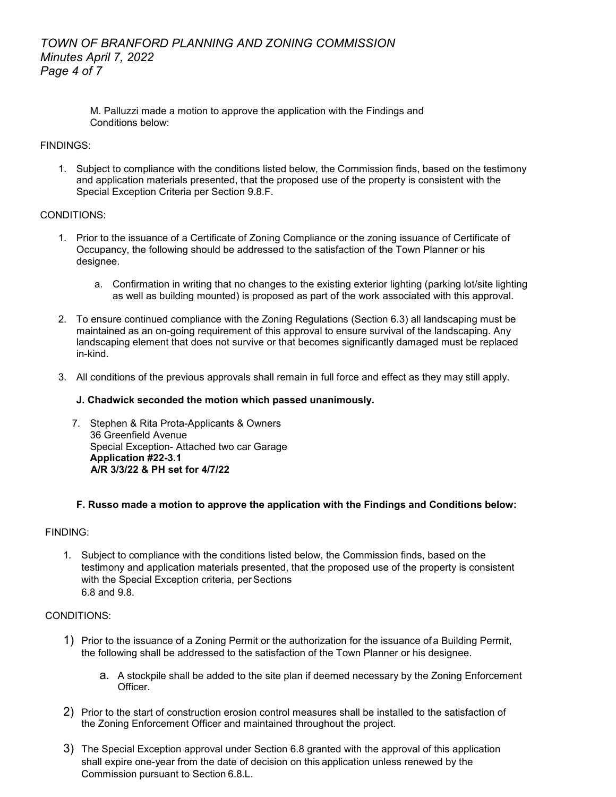# *TOWN OF BRANFORD PLANNING AND ZONING COMMISSION Minutes April 7, 2022 Page 4 of 7*

M. Palluzzi made a motion to approve the application with the Findings and Conditions below:

# FINDINGS:

1. Subject to compliance with the conditions listed below, the Commission finds, based on the testimony and application materials presented, that the proposed use of the property is consistent with the Special Exception Criteria per Section 9.8.F.

# CONDITIONS:

- 1. Prior to the issuance of a Certificate of Zoning Compliance or the zoning issuance of Certificate of Occupancy, the following should be addressed to the satisfaction of the Town Planner or his designee.
	- a. Confirmation in writing that no changes to the existing exterior lighting (parking lot/site lighting as well as building mounted) is proposed as part of the work associated with this approval.
- 2. To ensure continued compliance with the Zoning Regulations (Section 6.3) all landscaping must be maintained as an on-going requirement of this approval to ensure survival of the landscaping. Any landscaping element that does not survive or that becomes significantly damaged must be replaced in-kind.
- 3. All conditions of the previous approvals shall remain in full force and effect as they may still apply.

# **J. Chadwick seconded the motion which passed unanimously.**

7. Stephen & Rita Prota-Applicants & Owners 36 Greenfield Avenue Special Exception- Attached two car Garage **Application #22-3.1 A/R 3/3/22 & PH set for 4/7/22**

# **F. Russo made a motion to approve the application with the Findings and Conditions below:**

# FINDING:

1. Subject to compliance with the conditions listed below, the Commission finds, based on the testimony and application materials presented, that the proposed use of the property is consistent with the Special Exception criteria, per Sections 6.8 and 9.8.

# CONDITIONS:

- 1) Prior to the issuance of a Zoning Permit or the authorization for the issuance of a Building Permit, the following shall be addressed to the satisfaction of the Town Planner or his designee.
	- a. A stockpile shall be added to the site plan if deemed necessary by the Zoning Enforcement Officer.
- 2) Prior to the start of construction erosion control measures shall be installed to the satisfaction of the Zoning Enforcement Officer and maintained throughout the project.
- 3) The Special Exception approval under Section 6.8 granted with the approval of this application shall expire one-year from the date of decision on this application unless renewed by the Commission pursuant to Section 6.8.L.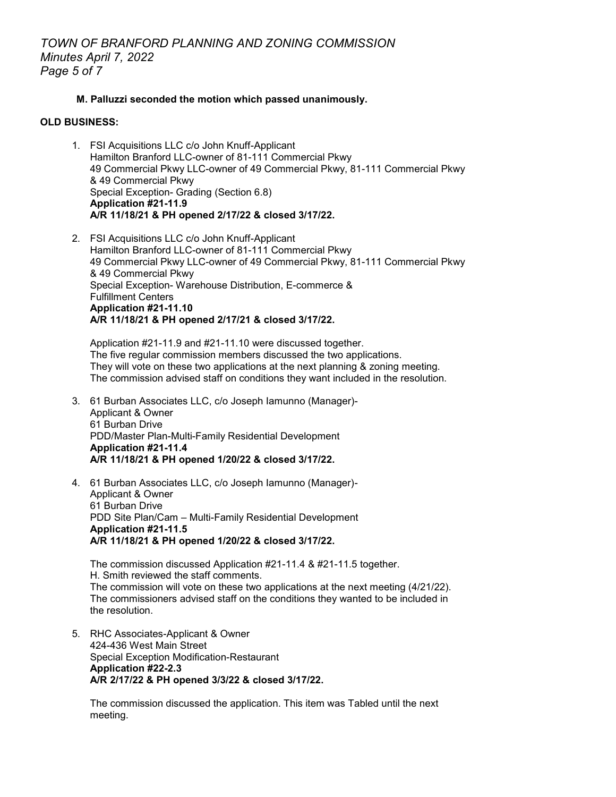#### **M. Palluzzi seconded the motion which passed unanimously.**

#### **OLD BUSINESS:**

- 1. FSI Acquisitions LLC c/o John Knuff-Applicant Hamilton Branford LLC-owner of 81-111 Commercial Pkwy 49 Commercial Pkwy LLC-owner of 49 Commercial Pkwy, 81-111 Commercial Pkwy & 49 Commercial Pkwy Special Exception- Grading (Section 6.8) **Application #21-11.9 A/R 11/18/21 & PH opened 2/17/22 & closed 3/17/22.**
- 2. FSI Acquisitions LLC c/o John Knuff-Applicant Hamilton Branford LLC-owner of 81-111 Commercial Pkwy 49 Commercial Pkwy LLC-owner of 49 Commercial Pkwy, 81-111 Commercial Pkwy & 49 Commercial Pkwy Special Exception- Warehouse Distribution, E-commerce & Fulfillment Centers **Application #21-11.10 A/R 11/18/21 & PH opened 2/17/21 & closed 3/17/22.**

Application #21-11.9 and #21-11.10 were discussed together. The five regular commission members discussed the two applications. They will vote on these two applications at the next planning & zoning meeting. The commission advised staff on conditions they want included in the resolution.

- 3. 61 Burban Associates LLC, c/o Joseph Iamunno (Manager)- Applicant & Owner 61 Burban Drive PDD/Master Plan-Multi-Family Residential Development **Application #21-11.4 A/R 11/18/21 & PH opened 1/20/22 & closed 3/17/22.**
- 4. 61 Burban Associates LLC, c/o Joseph Iamunno (Manager)- Applicant & Owner 61 Burban Drive PDD Site Plan/Cam – Multi-Family Residential Development **Application #21-11.5 A/R 11/18/21 & PH opened 1/20/22 & closed 3/17/22.**

The commission discussed Application #21-11.4 & #21-11.5 together. H. Smith reviewed the staff comments. The commission will vote on these two applications at the next meeting (4/21/22). The commissioners advised staff on the conditions they wanted to be included in the resolution.

5. RHC Associates-Applicant & Owner 424-436 West Main Street Special Exception Modification-Restaurant **Application #22-2.3 A/R 2/17/22 & PH opened 3/3/22 & closed 3/17/22.**

The commission discussed the application. This item was Tabled until the next meeting.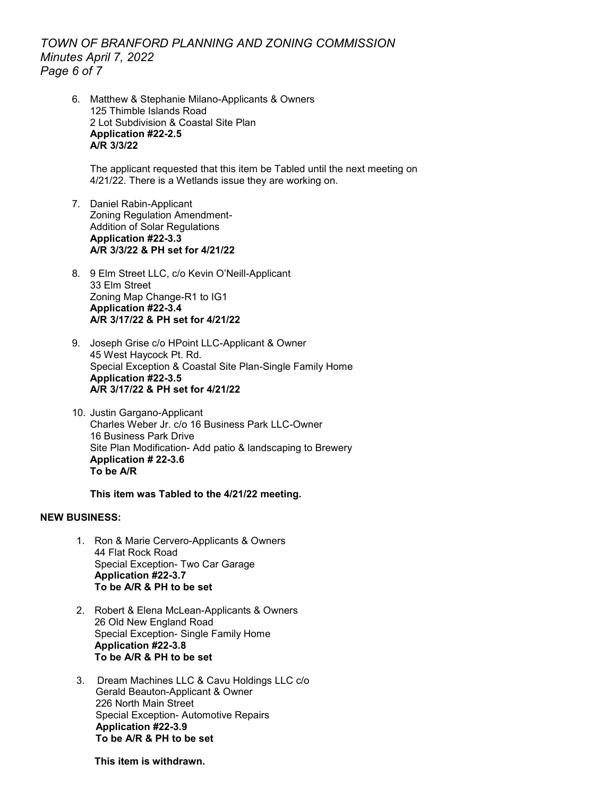*TOWN OF BRANFORD PLANNING AND ZONING COMMISSION Minutes April 7, 2022 Page 6 of 7*

6. Matthew & Stephanie Milano-Applicants & Owners 125 Thimble Islands Road 2 Lot Subdivision & Coastal Site Plan **Application #22-2.5 A/R 3/3/22**

The applicant requested that this item be Tabled until the next meeting on 4/21/22. There is a Wetlands issue they are working on.

- 7. Daniel Rabin-Applicant Zoning Regulation Amendment-Addition of Solar Regulations **Application #22-3.3 A/R 3/3/22 & PH set for 4/21/22**
- 8. 9 Elm Street LLC, c/o Kevin O'Neill-Applicant 33 Elm Street Zoning Map Change-R1 to IG1 **Application #22-3.4 A/R 3/17/22 & PH set for 4/21/22**
- 9. Joseph Grise c/o HPoint LLC-Applicant & Owner 45 West Haycock Pt. Rd. Special Exception & Coastal Site Plan-Single Family Home **Application #22-3.5 A/R 3/17/22 & PH set for 4/21/22**
- 10. Justin Gargano-Applicant Charles Weber Jr. c/o 16 Business Park LLC-Owner 16 Business Park Drive Site Plan Modification- Add patio & landscaping to Brewery **Application # 22-3.6 To be A/R**

**This item was Tabled to the 4/21/22 meeting.** 

#### **NEW BUSINESS:**

- 1. Ron & Marie Cervero-Applicants & Owners 44 Flat Rock Road Special Exception- Two Car Garage **Application #22-3.7 To be A/R & PH to be set**
- 2. Robert & Elena McLean-Applicants & Owners 26 Old New England Road Special Exception- Single Family Home **Application #22-3.8 To be A/R & PH to be set**
- 3. Dream Machines LLC & Cavu Holdings LLC c/o Gerald Beauton-Applicant & Owner 226 North Main Street Special Exception- Automotive Repairs **Application #22-3.9 To be A/R & PH to be set**

**This item is withdrawn.**